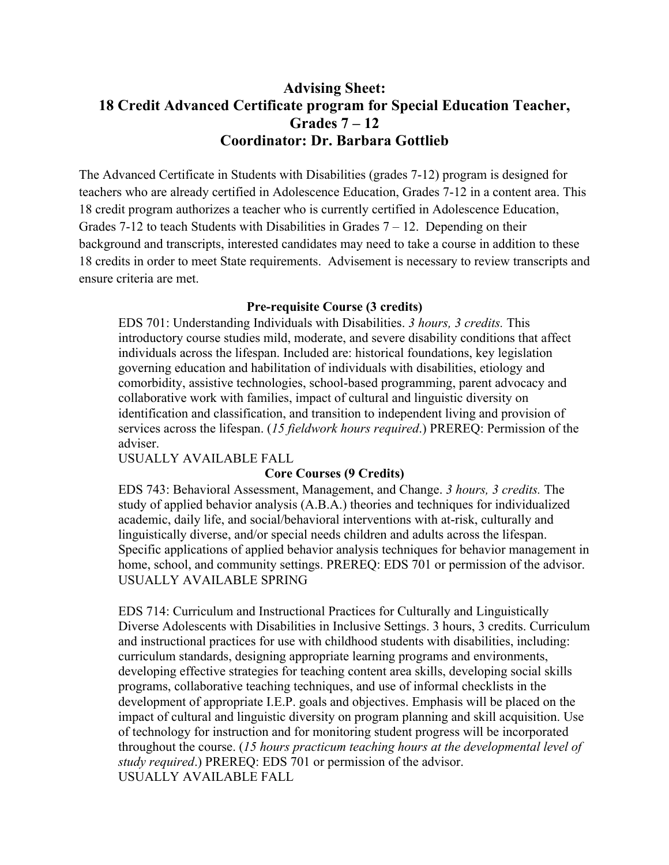## **Advising Sheet: 18 Credit Advanced Certificate program for Special Education Teacher, Grades 7 – 12 Coordinator: Dr. Barbara Gottlieb**

The Advanced Certificate in Students with Disabilities (grades 7-12) program is designed for teachers who are already certified in Adolescence Education, Grades 7-12 in a content area. This 18 credit program authorizes a teacher who is currently certified in Adolescence Education, Grades 7-12 to teach Students with Disabilities in Grades  $7 - 12$ . Depending on their background and transcripts, interested candidates may need to take a course in addition to these 18 credits in order to meet State requirements. Advisement is necessary to review transcripts and ensure criteria are met.

## **Pre-requisite Course (3 credits)**

 EDS 701: Understanding Individuals with Disabilities. *3 hours, 3 credits.* This introductory course studies mild, moderate, and severe disability conditions that affect individuals across the lifespan. Included are: historical foundations, key legislation governing education and habilitation of individuals with disabilities, etiology and comorbidity, assistive technologies, school-based programming, parent advocacy and collaborative work with families, impact of cultural and linguistic diversity on identification and classification, and transition to independent living and provision of services across the lifespan. (*15 fieldwork hours required*.) PREREQ: Permission of the adviser.

USUALLY AVAILABLE FALL

## **Core Courses (9 Credits)**

 EDS 743: Behavioral Assessment, Management, and Change. *3 hours, 3 credits.* The study of applied behavior analysis (A.B.A.) theories and techniques for individualized academic, daily life, and social/behavioral interventions with at-risk, culturally and linguistically diverse, and/or special needs children and adults across the lifespan. Specific applications of applied behavior analysis techniques for behavior management in home, school, and community settings. PREREQ: EDS 701 or permission of the advisor. USUALLY AVAILABLE SPRING

 EDS 714: Curriculum and Instructional Practices for Culturally and Linguistically Diverse Adolescents with Disabilities in Inclusive Settings. 3 hours, 3 credits. Curriculum and instructional practices for use with childhood students with disabilities, including: curriculum standards, designing appropriate learning programs and environments, developing effective strategies for teaching content area skills, developing social skills programs, collaborative teaching techniques, and use of informal checklists in the development of appropriate I.E.P. goals and objectives. Emphasis will be placed on the impact of cultural and linguistic diversity on program planning and skill acquisition. Use of technology for instruction and for monitoring student progress will be incorporated throughout the course. (*15 hours practicum teaching hours at the developmental level of study required*.) PREREQ: EDS 701 or permission of the advisor. USUALLY AVAILABLE FALL